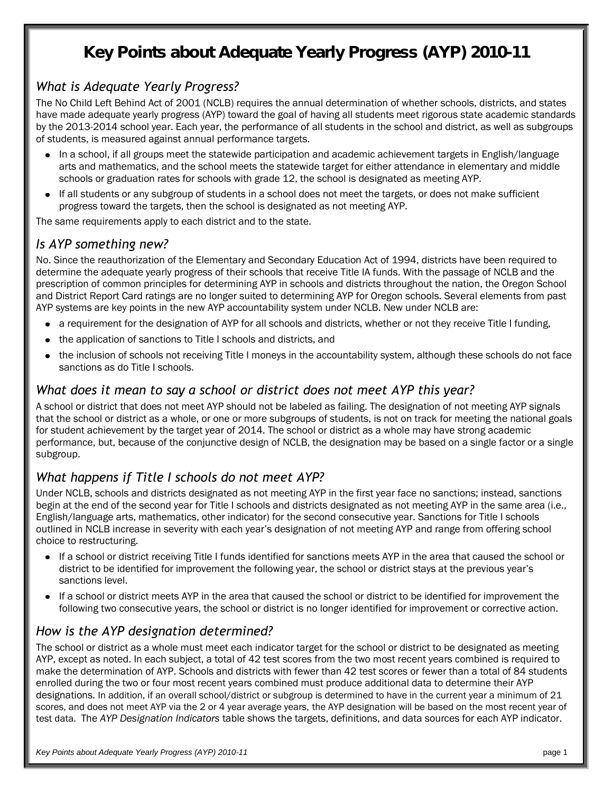# **Key Points about Adequate Yearly Progress (AYP) 2010-11**

#### *What is Adequate Yearly Progress?*

The No Child Left Behind Act of 2001 (NCLB) requires the annual determination of whether schools, districts, and states have made adequate yearly progress (AYP) toward the goal of having all students meet rigorous state academic standards by the 2013-2014 school year. Each year, the performance of all students in the school and district, as well as subgroups of students, is measured against annual performance targets.

- In a school, if all groups meet the statewide participation and academic achievement targets in English/language  $\bullet$ arts and mathematics, and the school meets the statewide target for either attendance in elementary and middle schools or graduation rates for schools with grade 12, the school is designated as meeting AYP.
- If all students or any subgroup of students in a school does not meet the targets, or does not make sufficient  $\bullet$ progress toward the targets, then the school is designated as not meeting AYP.

The same requirements apply to each district and to the state.

#### *Is AYP something new?*

No. Since the reauthorization of the Elementary and Secondary Education Act of 1994, districts have been required to determine the adequate yearly progress of their schools that receive Title IA funds. With the passage of NCLB and the prescription of common principles for determining AYP in schools and districts throughout the nation, the Oregon School and District Report Card ratings are no longer suited to determining AYP for Oregon schools. Several elements from past AYP systems are key points in the new AYP accountability system under NCLB. New under NCLB are:

- a requirement for the designation of AYP for all schools and districts, whether or not they receive Title I funding,
- the application of sanctions to Title I schools and districts, and
- the inclusion of schools not receiving Title I moneys in the accountability system, although these schools do not face  $\bullet$ sanctions as do Title I schools.

#### *What does it mean to say a school or district does not meet AYP this year?*

A school or district that does not meet AYP should not be labeled as failing. The designation of not meeting AYP signals that the school or district as a whole, or one or more subgroups of students, is not on track for meeting the national goals for student achievement by the target year of 2014. The school or district as a whole may have strong academic performance, but, because of the conjunctive design of NCLB, the designation may be based on a single factor or a single subgroup.

#### *What happens if Title I schools do not meet AYP?*

Under NCLB, schools and districts designated as not meeting AYP in the first year face no sanctions; instead, sanctions begin at the end of the second year for Title I schools and districts designated as not meeting AYP in the same area (i.e., English/language arts, mathematics, other indicator) for the second consecutive year. Sanctions for Title I schools outlined in NCLB increase in severity with each year's designation of not meeting AYP and range from offering school choice to restructuring.

- If a school or district receiving Title I funds identified for sanctions meets AYP in the area that caused the school or  $\bullet$ district to be identified for improvement the following year, the school or district stays at the previous year's sanctions level.
- $\bullet$ If a school or district meets AYP in the area that caused the school or district to be identified for improvement the following two consecutive years, the school or district is no longer identified for improvement or corrective action.

#### *How is the AYP designation determined?*

The school or district as a whole must meet each indicator target for the school or district to be designated as meeting AYP, except as noted. In each subject, a total of 42 test scores from the two most recent years combined is required to make the determination of AYP. Schools and districts with fewer than 42 test scores or fewer than a total of 84 students enrolled during the two or four most recent years combined must produce additional data to determine their AYP designations. In addition, if an overall school/district or subgroup is determined to have in the current year a minimum of 21 scores, and does not meet AYP via the 2 or 4 year average years, the AYP designation will be based on the most recent year of test data. The *AYP Designation Indicators* table shows the targets, definitions, and data sources for each AYP indicator.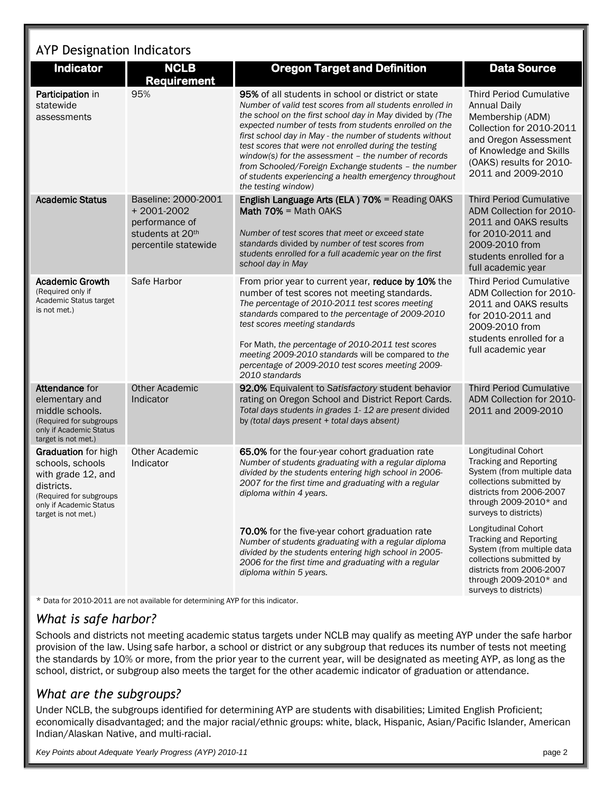# AYP Designation Indicators

| <b>Indicator</b>                                                                                                                                                 | <b>NCLB</b><br><b>Requirement</b>                                                                 | <b>Oregon Target and Definition</b>                                                                                                                                                                                                                                                                                                                                                                                                                                                                                                                          | <b>Data Source</b>                                                                                                                                                                                          |
|------------------------------------------------------------------------------------------------------------------------------------------------------------------|---------------------------------------------------------------------------------------------------|--------------------------------------------------------------------------------------------------------------------------------------------------------------------------------------------------------------------------------------------------------------------------------------------------------------------------------------------------------------------------------------------------------------------------------------------------------------------------------------------------------------------------------------------------------------|-------------------------------------------------------------------------------------------------------------------------------------------------------------------------------------------------------------|
| Participation in<br>statewide<br>assessments                                                                                                                     | 95%                                                                                               | 95% of all students in school or district or state<br>Number of valid test scores from all students enrolled in<br>the school on the first school day in May divided by (The<br>expected number of tests from students enrolled on the<br>first school day in May - the number of students without<br>test scores that were not enrolled during the testing<br>window(s) for the assessment - the number of records<br>from Schooled/Foreign Exchange students - the number<br>of students experiencing a health emergency throughout<br>the testing window) | <b>Third Period Cumulative</b><br><b>Annual Daily</b><br>Membership (ADM)<br>Collection for 2010-2011<br>and Oregon Assessment<br>of Knowledge and Skills<br>(OAKS) results for 2010-<br>2011 and 2009-2010 |
| <b>Academic Status</b>                                                                                                                                           | Baseline: 2000-2001<br>$+2001-2002$<br>performance of<br>students at 20th<br>percentile statewide | English Language Arts (ELA) 70% = Reading OAKS<br><b>Math 70% = Math OAKS</b><br>Number of test scores that meet or exceed state<br>standards divided by number of test scores from<br>students enrolled for a full academic year on the first<br>school day in May                                                                                                                                                                                                                                                                                          | <b>Third Period Cumulative</b><br>ADM Collection for 2010-<br>2011 and OAKS results<br>for 2010-2011 and<br>2009-2010 from<br>students enrolled for a<br>full academic year                                 |
| <b>Academic Growth</b><br>(Required only if<br>Academic Status target<br>is not met.)                                                                            | Safe Harbor                                                                                       | From prior year to current year, reduce by 10% the<br>number of test scores not meeting standards.<br>The percentage of 2010-2011 test scores meeting<br>standards compared to the percentage of 2009-2010<br>test scores meeting standards<br>For Math, the percentage of 2010-2011 test scores<br>meeting 2009-2010 standards will be compared to the<br>percentage of 2009-2010 test scores meeting 2009-<br>2010 standards                                                                                                                               | <b>Third Period Cumulative</b><br>ADM Collection for 2010-<br>2011 and OAKS results<br>for 2010-2011 and<br>2009-2010 from<br>students enrolled for a<br>full academic year                                 |
| <b>Attendance for</b><br>elementary and<br>middle schools.<br>(Required for subgroups)<br>only if Academic Status<br>target is not met.)                         | <b>Other Academic</b><br>Indicator                                                                | 92.0% Equivalent to Satisfactory student behavior<br>rating on Oregon School and District Report Cards.<br>Total days students in grades 1-12 are present divided<br>by (total days present + total days absent)                                                                                                                                                                                                                                                                                                                                             | <b>Third Period Cumulative</b><br>ADM Collection for 2010-<br>2011 and 2009-2010                                                                                                                            |
| <b>Graduation</b> for high<br>schools, schools<br>with grade 12, and<br>districts.<br>(Required for subgroups)<br>only if Academic Status<br>target is not met.) | <b>Other Academic</b><br>Indicator                                                                | 65.0% for the four-year cohort graduation rate<br>Number of students graduating with a regular diploma<br>divided by the students entering high school in 2006-<br>2007 for the first time and graduating with a regular<br>diploma within 4 years.                                                                                                                                                                                                                                                                                                          | Longitudinal Cohort<br><b>Tracking and Reporting</b><br>System (from multiple data<br>collections submitted by<br>districts from 2006-2007<br>through 2009-2010* and<br>surveys to districts)               |
|                                                                                                                                                                  |                                                                                                   | 70.0% for the five-year cohort graduation rate<br>Number of students graduating with a regular diploma<br>divided by the students entering high school in 2005-<br>2006 for the first time and graduating with a regular<br>diploma within 5 years.                                                                                                                                                                                                                                                                                                          | Longitudinal Cohort<br><b>Tracking and Reporting</b><br>System (from multiple data<br>collections submitted by<br>districts from 2006-2007<br>through 2009-2010* and<br>surveys to districts)               |

\* Data for 2010-2011 are not available for determining AYP for this indicator.

#### *What is safe harbor?*

Schools and districts not meeting academic status targets under NCLB may qualify as meeting AYP under the safe harbor provision of the law. Using safe harbor, a school or district or any subgroup that reduces its number of tests not meeting the standards by 10% or more, from the prior year to the current year, will be designated as meeting AYP, as long as the school, district, or subgroup also meets the target for the other academic indicator of graduation or attendance.

#### *What are the subgroups?*

Under NCLB, the subgroups identified for determining AYP are students with disabilities; Limited English Proficient; economically disadvantaged; and the major racial/ethnic groups: white, black, Hispanic, Asian/Pacific Islander, American Indian/Alaskan Native, and multi-racial.

*Key Points about Adequate Yearly Progress (AYP) 2010-11* page 2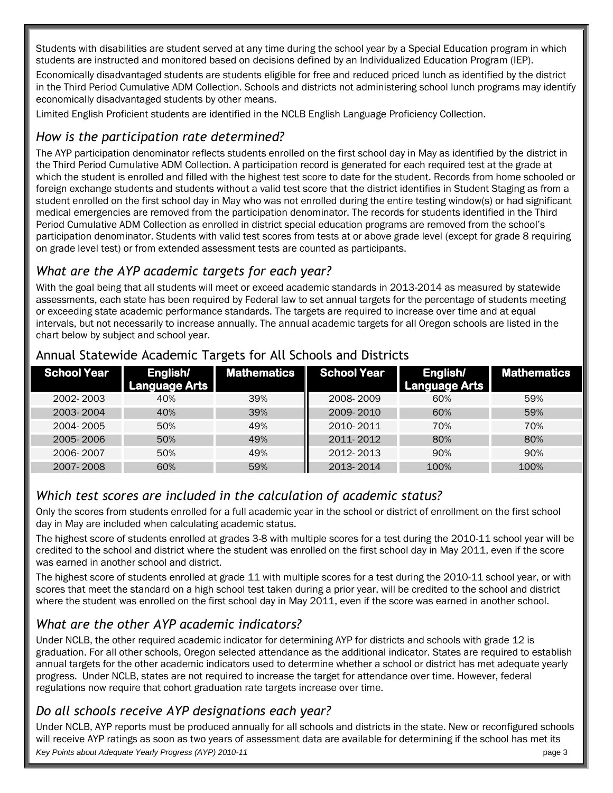Students with disabilities are student served at any time during the school year by a Special Education program in which students are instructed and monitored based on decisions defined by an Individualized Education Program (IEP).

Economically disadvantaged students are students eligible for free and reduced priced lunch as identified by the district in the Third Period Cumulative ADM Collection. Schools and districts not administering school lunch programs may identify economically disadvantaged students by other means.

Limited English Proficient students are identified in the NCLB English Language Proficiency Collection.

### *How is the participation rate determined?*

The AYP participation denominator reflects students enrolled on the first school day in May as identified by the district in the Third Period Cumulative ADM Collection. A participation record is generated for each required test at the grade at which the student is enrolled and filled with the highest test score to date for the student. Records from home schooled or foreign exchange students and students without a valid test score that the district identifies in Student Staging as from a student enrolled on the first school day in May who was not enrolled during the entire testing window(s) or had significant medical emergencies are removed from the participation denominator. The records for students identified in the Third Period Cumulative ADM Collection as enrolled in district special education programs are removed from the school's participation denominator. Students with valid test scores from tests at or above grade level (except for grade 8 requiring on grade level test) or from extended assessment tests are counted as participants.

### *What are the AYP academic targets for each year?*

With the goal being that all students will meet or exceed academic standards in 2013-2014 as measured by statewide assessments, each state has been required by Federal law to set annual targets for the percentage of students meeting or exceeding state academic performance standards. The targets are required to increase over time and at equal intervals, but not necessarily to increase annually. The annual academic targets for all Oregon schools are listed in the chart below by subject and school year.

| School Year | English/<br><b>Language Arts</b> | <b>Mathematics</b> | <b>School Year</b> | English/<br><b>Language Arts</b> | <b>Mathematics</b> |
|-------------|----------------------------------|--------------------|--------------------|----------------------------------|--------------------|
| 2002-2003   | 40%                              | 39%                | 2008-2009          | 60%                              | 59%                |
| 2003-2004   | 40%                              | 39%                | 2009-2010          | 60%                              | 59%                |
| 2004-2005   | 50%                              | 49%                | 2010-2011          | 70%                              | 70%                |
| 2005-2006   | 50%                              | 49%                | 2011-2012          | 80%                              | 80%                |
| 2006-2007   | 50%                              | 49%                | 2012-2013          | 90%                              | 90%                |
| 2007-2008   | 60%                              | 59%                | 2013-2014          | 100%                             | 100%               |

#### Annual Statewide Academic Targets for All Schools and Districts

#### *Which test scores are included in the calculation of academic status?*

Only the scores from students enrolled for a full academic year in the school or district of enrollment on the first school day in May are included when calculating academic status.

The highest score of students enrolled at grades 3-8 with multiple scores for a test during the 2010-11 school year will be credited to the school and district where the student was enrolled on the first school day in May 2011, even if the score was earned in another school and district.

The highest score of students enrolled at grade 11 with multiple scores for a test during the 2010-11 school year, or with scores that meet the standard on a high school test taken during a prior year, will be credited to the school and district where the student was enrolled on the first school day in May 2011, even if the score was earned in another school.

# *What are the other AYP academic indicators?*

Under NCLB, the other required academic indicator for determining AYP for districts and schools with grade 12 is graduation. For all other schools, Oregon selected attendance as the additional indicator. States are required to establish annual targets for the other academic indicators used to determine whether a school or district has met adequate yearly progress. Under NCLB, states are not required to increase the target for attendance over time. However, federal regulations now require that cohort graduation rate targets increase over time.

#### *Do all schools receive AYP designations each year?*

*Key Points about Adequate Yearly Progress (AYP) 2010-11* page 3 Under NCLB, AYP reports must be produced annually for all schools and districts in the state. New or reconfigured schools will receive AYP ratings as soon as two years of assessment data are available for determining if the school has met its